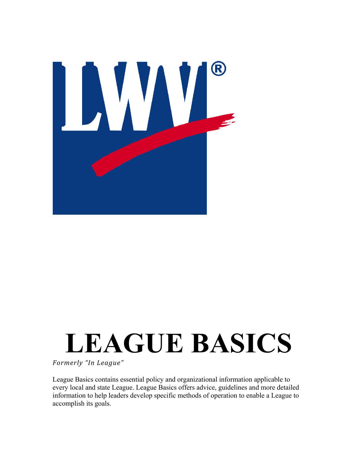

# **LEAGUE BASICS**

*Formerly "In League"*

League Basics contains essential policy and organizational information applicable to every local and state League. League Basics offers advice, guidelines and more detailed information to help leaders develop specific methods of operation to enable a League to accomplish its goals.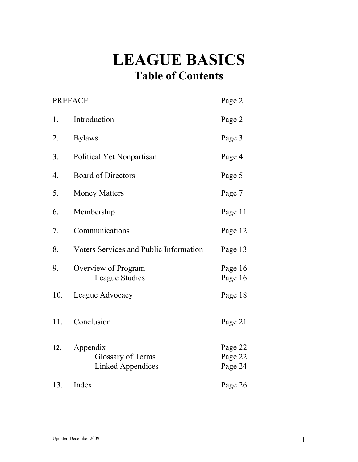# **LEAGUE BASICS Table of Contents**

| <b>PREFACE</b> |                                                                  | Page 2                        |
|----------------|------------------------------------------------------------------|-------------------------------|
| 1.             | Introduction                                                     | Page 2                        |
| 2.             | <b>Bylaws</b>                                                    | Page 3                        |
| 3.             | Political Yet Nonpartisan                                        | Page 4                        |
| 4.             | <b>Board of Directors</b>                                        | Page 5                        |
| 5.             | <b>Money Matters</b>                                             | Page 7                        |
| 6.             | Membership                                                       | Page 11                       |
| 7.             | Communications                                                   | Page 12                       |
| 8.             | Voters Services and Public Information                           | Page 13                       |
| 9.             | Overview of Program<br>League Studies                            | Page 16<br>Page 16            |
| 10.            | League Advocacy                                                  | Page 18                       |
| 11.            | Conclusion                                                       | Page 21                       |
| 12.            | Appendix<br><b>Glossary of Terms</b><br><b>Linked Appendices</b> | Page 22<br>Page 22<br>Page 24 |
| 13.            | Index                                                            | Page 26                       |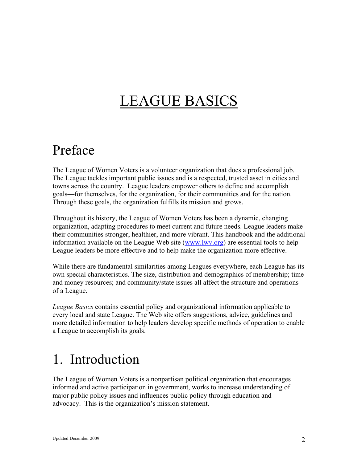# LEAGUE BASICS

## Preface

The League of Women Voters is a volunteer organization that does a professional job. The League tackles important public issues and is a respected, trusted asset in cities and towns across the country. League leaders empower others to define and accomplish goals—for themselves, for the organization, for their communities and for the nation. Through these goals, the organization fulfills its mission and grows.

Throughout its history, the League of Women Voters has been a dynamic, changing organization, adapting procedures to meet current and future needs. League leaders make their communities stronger, healthier, and more vibrant. This handbook and the additional information available on the League Web site [\(www.lwv.org\)](http://www.lwv.org/) are essential tools to help League leaders be more effective and to help make the organization more effective.

While there are fundamental similarities among Leagues everywhere, each League has its own special characteristics. The size, distribution and demographics of membership; time and money resources; and community/state issues all affect the structure and operations of a League.

*League Basics* contains essential policy and organizational information applicable to every local and state League. The Web site offers suggestions, advice, guidelines and more detailed information to help leaders develop specific methods of operation to enable a League to accomplish its goals.

## 1. Introduction

The League of Women Voters is a nonpartisan political organization that encourages informed and active participation in government, works to increase understanding of major public policy issues and influences public policy through education and advocacy. This is the organization's mission statement.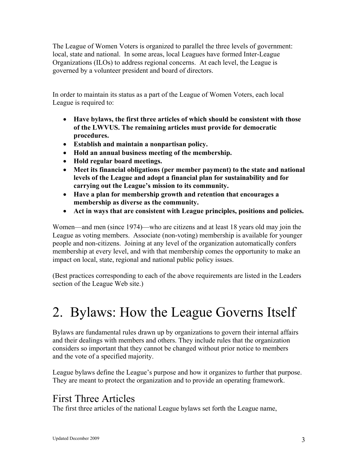The League of Women Voters is organized to parallel the three levels of government: local, state and national. In some areas, local Leagues have formed Inter-League Organizations (ILOs) to address regional concerns. At each level, the League is governed by a volunteer president and board of directors.

In order to maintain its status as a part of the League of Women Voters, each local League is required to:

- ! **Have bylaws, the first three articles of which should be consistent with those of the LWVUS. The remaining articles must provide for democratic procedures.**
- ! **Establish and maintain a nonpartisan policy.**
- ! **Hold an annual business meeting of the membership.**
- ! **Hold regular board meetings.**
- ! **Meet its financial obligations (per member payment) to the state and national levels of the League and adopt a financial plan for sustainability and for carrying out the League's mission to its community.**
- ! **Have a plan for membership growth and retention that encourages a membership as diverse as the community.**
- ! **Act in ways that are consistent with League principles, positions and policies.**

Women—and men (since 1974)—who are citizens and at least 18 years old may join the League as voting members. Associate (non-voting) membership is available for younger people and non-citizens. Joining at any level of the organization automatically confers membership at every level, and with that membership comes the opportunity to make an impact on local, state, regional and national public policy issues.

(Best practices corresponding to each of the above requirements are listed in the Leaders section of the League Web site.)

# 2. Bylaws: How the League Governs Itself

Bylaws are fundamental rules drawn up by organizations to govern their internal affairs and their dealings with members and others. They include rules that the organization considers so important that they cannot be changed without prior notice to members and the vote of a specified majority.

League bylaws define the League's purpose and how it organizes to further that purpose. They are meant to protect the organization and to provide an operating framework.

## First Three Articles

The first three articles of the national League bylaws set forth the League name,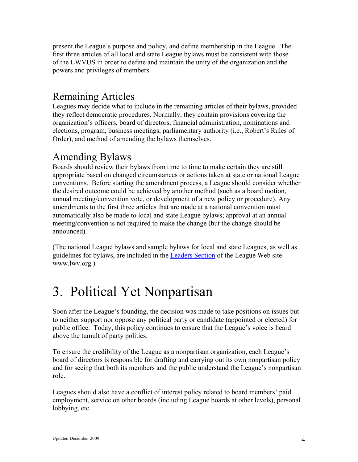present the League's purpose and policy, and define membership in the League. The first three articles of all local and state League bylaws must be consistent with those of the LWVUS in order to define and maintain the unity of the organization and the powers and privileges of members.

#### Remaining Articles

Leagues may decide what to include in the remaining articles of their bylaws, provided they reflect democratic procedures. Normally, they contain provisions covering the organization's officers, board of directors, financial administration, nominations and elections, program, business meetings, parliamentary authority (i.e., Robert's Rules of Order), and method of amending the bylaws themselves.

## Amending Bylaws

Boards should review their bylaws from time to time to make certain they are still appropriate based on changed circumstances or actions taken at state or national League conventions. Before starting the amendment process, a League should consider whether the desired outcome could be achieved by another method (such as a board motion, annual meeting/convention vote, or development of a new policy or procedure). Any amendments to the first three articles that are made at a national convention must automatically also be made to local and state League bylaws; approval at an annual meeting/convention is not required to make the change (but the change should be announced).

(The national League bylaws and sample bylaws for local and state Leagues, as well as guidelines for bylaws, are included in the [Leaders Section](http://www.lwv.org/AM/Template.cfm?Section=Tools_For_Leaders&Template=/TaggedPage/TaggedPageDisplay.cfm&TPLID=75&ContentID=13934) of the League Web site www.lwv.org.)

## 3. Political Yet Nonpartisan

Soon after the League's founding, the decision was made to take positions on issues but to neither support nor oppose any political party or candidate (appointed or elected) for public office. Today, this policy continues to ensure that the League's voice is heard above the tumult of party politics.

To ensure the credibility of the League as a nonpartisan organization, each League's board of directors is responsible for drafting and carrying out its own nonpartisan policy and for seeing that both its members and the public understand the League's nonpartisan role.

Leagues should also have a conflict of interest policy related to board members' paid employment, service on other boards (including League boards at other levels), personal lobbying, etc.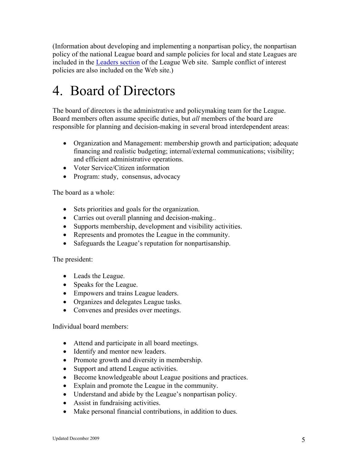(Information about developing and implementing a nonpartisan policy, the nonpartisan policy of the national League board and sample policies for local and state Leagues are included in the [Leaders](http://www.lwv.org/AM/Template.cfm?Section=Tools_For_Leaders&Template=/TaggedPage/TaggedPageDisplay.cfm&TPLID=75&ContentID=13934) section of the League Web site. Sample conflict of interest policies are also included on the Web site.)

# 4. Board of Directors

The board of directors is the administrative and policymaking team for the League. Board members often assume specific duties, but *all* members of the board are responsible for planning and decision-making in several broad interdependent areas:

- Organization and Management: membership growth and participation; adequate financing and realistic budgeting; internal/external communications; visibility; and efficient administrative operations.
- Voter Service/Citizen information
- Program: study, consensus, advocacy

The board as a whole:

- Sets priorities and goals for the organization.
- Carries out overall planning and decision-making...
- ! Supports membership, development and visibility activities.
- ! Represents and promotes the League in the community.
- ! Safeguards the League's reputation for nonpartisanship.

#### The president:

- Leads the League.
- Speaks for the League.
- Empowers and trains League leaders.
- Organizes and delegates League tasks.
- Convenes and presides over meetings.

#### Individual board members:

- ! Attend and participate in all board meetings.
- Identify and mentor new leaders.
- Promote growth and diversity in membership.
- Support and attend League activities.
- Become knowledgeable about League positions and practices.
- ! Explain and promote the League in the community.
- Understand and abide by the League's nonpartisan policy.
- Assist in fundraising activities.
- Make personal financial contributions, in addition to dues.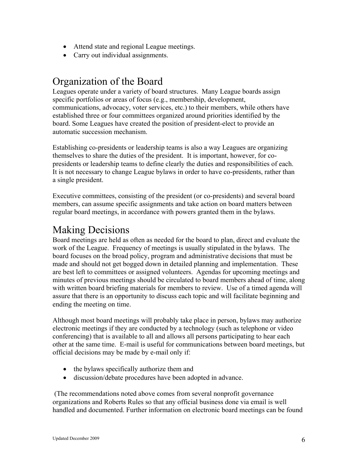- Attend state and regional League meetings.
- Carry out individual assignments.

## Organization of the Board

Leagues operate under a variety of board structures. Many League boards assign specific portfolios or areas of focus (e.g., membership, development, communications, advocacy, voter services, etc.) to their members, while others have established three or four committees organized around priorities identified by the board. Some Leagues have created the position of president-elect to provide an automatic succession mechanism.

Establishing co-presidents or leadership teams is also a way Leagues are organizing themselves to share the duties of the president. It is important, however, for copresidents or leadership teams to define clearly the duties and responsibilities of each. It is not necessary to change League bylaws in order to have co-presidents, rather than a single president.

Executive committees, consisting of the president (or co-presidents) and several board members, can assume specific assignments and take action on board matters between regular board meetings, in accordance with powers granted them in the bylaws.

#### Making Decisions

Board meetings are held as often as needed for the board to plan, direct and evaluate the work of the League. Frequency of meetings is usually stipulated in the bylaws. The board focuses on the broad policy, program and administrative decisions that must be made and should not get bogged down in detailed planning and implementation. These are best left to committees or assigned volunteers. Agendas for upcoming meetings and minutes of previous meetings should be circulated to board members ahead of time, along with written board briefing materials for members to review. Use of a timed agenda will assure that there is an opportunity to discuss each topic and will facilitate beginning and ending the meeting on time.

Although most board meetings will probably take place in person, bylaws may authorize electronic meetings if they are conducted by a technology (such as telephone or video conferencing) that is available to all and allows all persons participating to hear each other at the same time. E-mail is useful for communications between board meetings, but official decisions may be made by e-mail only if:

- the bylaws specifically authorize them and
- discussion/debate procedures have been adopted in advance.

(The recommendations noted above comes from several nonprofit governance organizations and Roberts Rules so that any official business done via email is well handled and documented. Further information on electronic board meetings can be found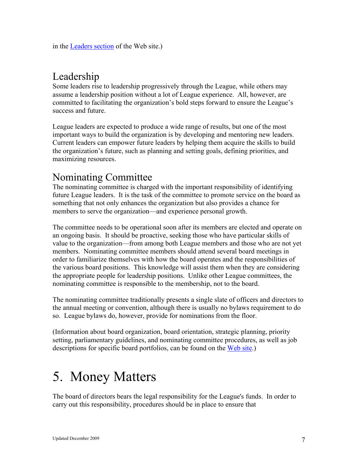in the [Leaders section](http://www.lwv.org/AM/Template.cfm?Section=Tools_For_Leaders&Template=/TaggedPage/TaggedPageDisplay.cfm&TPLID=75&ContentID=13934) of the Web site.)

#### Leadership

Some leaders rise to leadership progressively through the League, while others may assume a leadership position without a lot of League experience. All, however, are committed to facilitating the organization's bold steps forward to ensure the League's success and future.

League leaders are expected to produce a wide range of results, but one of the most important ways to build the organization is by developing and mentoring new leaders. Current leaders can empower future leaders by helping them acquire the skills to build the organization's future, such as planning and setting goals, defining priorities, and maximizing resources.

## Nominating Committee

The nominating committee is charged with the important responsibility of identifying future League leaders. It is the task of the committee to promote service on the board as something that not only enhances the organization but also provides a chance for members to serve the organization—and experience personal growth.

The committee needs to be operational soon after its members are elected and operate on an ongoing basis. It should be proactive, seeking those who have particular skills of value to the organization—from among both League members and those who are not yet members. Nominating committee members should attend several board meetings in order to familiarize themselves with how the board operates and the responsibilities of the various board positions. This knowledge will assist them when they are considering the appropriate people for leadership positions. Unlike other League committees, the nominating committee is responsible to the membership, not to the board.

The nominating committee traditionally presents a single slate of officers and directors to the annual meeting or convention, although there is usually no bylaws requirement to do so. League bylaws do, however, provide for nominations from the floor.

(Information about board organization, board orientation, strategic planning, priority setting, parliamentary guidelines, and nominating committee procedures, as well as job descriptions for specific board portfolios, can be found on the [Web site.](http://www.lwv.org/AM/Template.cfm?Section=For_Members&Template=/TaggedPage/TaggedPageDisplay.cfm&TPLID=117&ContentID=13414))

# 5. Money Matters

The board of directors bears the legal responsibility for the League's funds. In order to carry out this responsibility, procedures should be in place to ensure that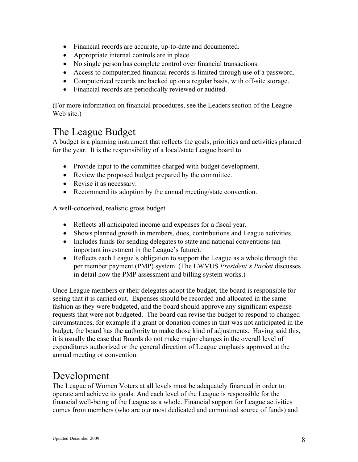- ! Financial records are accurate, up-to-date and documented.
- ! Appropriate internal controls are in place.
- ! No single person has complete control over financial transactions.
- ! Access to computerized financial records is limited through use of a password.
- Computerized records are backed up on a regular basis, with off-site storage.
- Financial records are periodically reviewed or audited.

(For more information on financial procedures, see the Leaders section of the League Web site.)

#### The League Budget

A budget is a planning instrument that reflects the goals, priorities and activities planned for the year. It is the responsibility of a local/state League board to

- Provide input to the committee charged with budget development.
- Review the proposed budget prepared by the committee.
- Revise it as necessary.
- Recommend its adoption by the annual meeting/state convention.

A well-conceived, realistic gross budget

- ! Reflects all anticipated income and expenses for a fiscal year.
- Shows planned growth in members, dues, contributions and League activities.
- Includes funds for sending delegates to state and national conventions (an important investment in the League's future).
- Reflects each League's obligation to support the League as a whole through the per member payment (PMP) system. (The LWVUS *President's Packet* discusses in detail how the PMP assessment and billing system works.)

Once League members or their delegates adopt the budget, the board is responsible for seeing that it is carried out. Expenses should be recorded and allocated in the same fashion as they were budgeted, and the board should approve any significant expense requests that were not budgeted. The board can revise the budget to respond to changed circumstances, for example if a grant or donation comes in that was not anticipated in the budget, the board has the authority to make those kind of adjustments. Having said this, it is usually the case that Boards do not make major changes in the overall level of expenditures authorized or the general direction of League emphasis approved at the annual meeting or convention.

## Development

The League of Women Voters at all levels must be adequately financed in order to operate and achieve its goals. And each level of the League is responsible for the financial well-being of the League as a whole. Financial support for League activities comes from members (who are our most dedicated and committed source of funds) and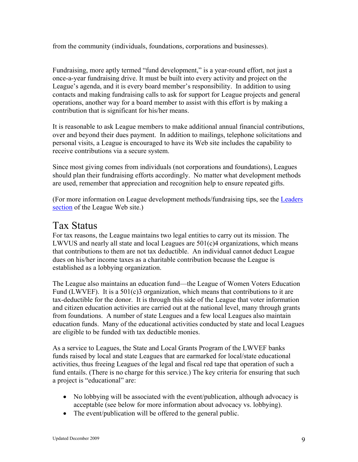from the community (individuals, foundations, corporations and businesses).

Fundraising, more aptly termed "fund development," is a year-round effort, not just a once-a-year fundraising drive. It must be built into every activity and project on the League's agenda, and it is every board member's responsibility. In addition to using contacts and making fundraising calls to ask for support for League projects and general operations, another way for a board member to assist with this effort is by making a contribution that is significant for his/her means.

It is reasonable to ask League members to make additional annual financial contributions, over and beyond their dues payment. In addition to mailings, telephone solicitations and personal visits, a League is encouraged to have its Web site includes the capability to receive contributions via a secure system.

Since most giving comes from individuals (not corporations and foundations), Leagues should plan their fundraising efforts accordingly. No matter what development methods are used, remember that appreciation and recognition help to ensure repeated gifts.

(For more information on League development methods/fundraising tips, see the [Leaders](http://www.lwv.org/AM/Template.cfm?Section=For_Members&Template=/TaggedPage/TaggedPageDisplay.cfm&TPLID=117&ContentID=13414) [section](http://www.lwv.org/AM/Template.cfm?Section=For_Members&Template=/TaggedPage/TaggedPageDisplay.cfm&TPLID=117&ContentID=13414) of the League Web site.)

#### Tax Status

For tax reasons, the League maintains two legal entities to carry out its mission. The LWVUS and nearly all state and local Leagues are 501(c)4 organizations, which means that contributions to them are not tax deductible. An individual cannot deduct League dues on his/her income taxes as a charitable contribution because the League is established as a lobbying organization.

The League also maintains an education fund—the League of Women Voters Education Fund (LWVEF). It is a  $501(c)3$  organization, which means that contributions to it are tax-deductible for the donor. It is through this side of the League that voter information and citizen education activities are carried out at the national level, many through grants from foundations. A number of state Leagues and a few local Leagues also maintain education funds. Many of the educational activities conducted by state and local Leagues are eligible to be funded with tax deductible monies.

As a service to Leagues, the State and Local Grants Program of the LWVEF banks funds raised by local and state Leagues that are earmarked for local/state educational activities, thus freeing Leagues of the legal and fiscal red tape that operation of such a fund entails. (There is no charge for this service.) The key criteria for ensuring that such a project is "educational" are:

- No lobbying will be associated with the event/publication, although advocacy is acceptable (see below for more information about advocacy vs. lobbying).
- The event/publication will be offered to the general public.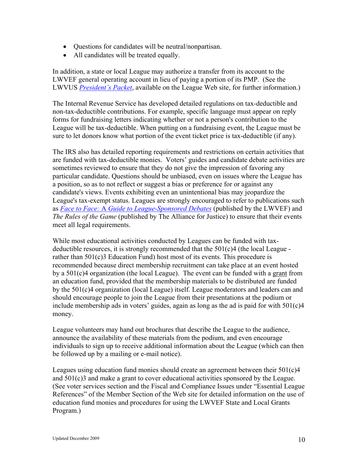- Questions for candidates will be neutral/nonpartisan.
- All candidates will be treated equally.

In addition, a state or local League may authorize a transfer from its account to the LWVEF general operating account in lieu of paying a portion of its PMP. (See the LWVUS *[President's Packet](http://www.lwv.org/AM/Template.cfm?Section=President_s_Packet&Template=/TaggedPage/TaggedPageDisplay.cfm&TPLID=156&ContentID=9846)*, available on the League Web site, for further information.)

The Internal Revenue Service has developed detailed regulations on tax-deductible and non-tax-deductible contributions. For example, specific language must appear on reply forms for fundraising letters indicating whether or not a person's contribution to the League will be tax-deductible. When putting on a fundraising event, the League must be sure to let donors know what portion of the event ticket price is tax-deductible (if any).

The IRS also has detailed reporting requirements and restrictions on certain activities that are funded with tax-deductible monies. Voters' guides and candidate debate activities are sometimes reviewed to ensure that they do not give the impression of favoring any particular candidate. Questions should be unbiased, even on issues where the League has a position, so as to not reflect or suggest a bias or preference for or against any candidate's views. Events exhibiting even an unintentional bias may jeopardize the League's tax-exempt status. Leagues are strongly encouraged to refer to publications such as *Face to Face:* A *[Guide to League-Sponsored Debates](http://www.lwv.org/AM/Template.cfm?Section=Face_to_Face&Template=/TaggedPage/TaggedPageDisplay.cfm&TPLID=1&ContentID=7879)* (published by the LWVEF) and *The Rules of the Game* (published by The Alliance for Justice) to ensure that their events meet all legal requirements.

While most educational activities conducted by Leagues can be funded with taxdeductible resources, it is strongly recommended that the  $501(c)4$  (the local League rather than  $501(c)$ 3 Education Fund) host most of its events. This procedure is recommended because direct membership recruitment can take place at an event hosted by a 501(c)4 organization (the local League). The event can be funded with a grant from an education fund, provided that the membership materials to be distributed are funded by the 501(c)4 organization (local League) itself. League moderators and leaders can and should encourage people to join the League from their presentations at the podium or include membership ads in voters' guides, again as long as the ad is paid for with 501(c)4 money.

League volunteers may hand out brochures that describe the League to the audience, announce the availability of these materials from the podium, and even encourage individuals to sign up to receive additional information about the League (which can then be followed up by a mailing or e-mail notice).

Leagues using education fund monies should create an agreement between their  $501(c)4$ and 501(c)3 and make a grant to cover educational activities sponsored by the League. (See voter services section and the Fiscal and Compliance Issues under "Essential League References" of the Member Section of the Web site for detailed information on the use of education fund monies and procedures for using the LWVEF State and Local Grants Program.)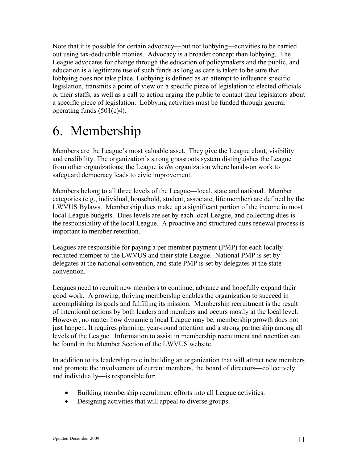Note that it is possible for certain advocacy—but not lobbying—activities to be carried out using tax-deductible monies. Advocacy is a broader concept than lobbying. The League advocates for change through the education of policymakers and the public, and education is a legitimate use of such funds as long as care is taken to be sure that lobbying does not take place. Lobbying is defined as an attempt to influence specific legislation, transmits a point of view on a specific piece of legislation to elected officials or their staffs, as well as a call to action urging the public to contact their legislators about a specific piece of legislation. Lobbying activities must be funded through general operating funds (501(c)4).

# 6. Membership

Members are the League's most valuable asset. They give the League clout, visibility and credibility. The organization's strong grassroots system distinguishes the League from other organizations; the League is *the* organization where hands-on work to safeguard democracy leads to civic improvement.

Members belong to all three levels of the League—local, state and national. Member categories (e.g., individual, household, student, associate, life member) are defined by the LWVUS Bylaws. Membership dues make up a significant portion of the income in most local League budgets. Dues levels are set by each local League, and collecting dues is the responsibility of the local League. A proactive and structured dues renewal process is important to member retention.

Leagues are responsible for paying a per member payment (PMP) for each locally recruited member to the LWVUS and their state League. National PMP is set by delegates at the national convention, and state PMP is set by delegates at the state convention.

Leagues need to recruit new members to continue, advance and hopefully expand their good work. A growing, thriving membership enables the organization to succeed in accomplishing its goals and fulfilling its mission. Membership recruitment is the result of intentional actions by both leaders and members and occurs mostly at the local level. However, no matter how dynamic a local League may be, membership growth does not just happen. It requires planning, year-round attention and a strong partnership among all levels of the League. Information to assist in membership recruitment and retention can be found in the Member Section of the LWVUS website.

In addition to its leadership role in building an organization that will attract new members and promote the involvement of current members, the board of directors—collectively and individually—is responsible for:

- ! Building membership recruitment efforts into all League activities.
- ! Designing activities that will appeal to diverse groups.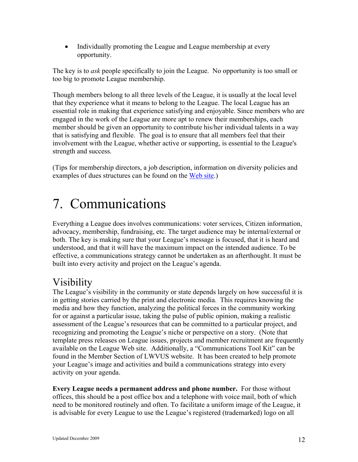• Individually promoting the League and League membership at every opportunity.

The key is to *ask* people specifically to join the League. No opportunity is too small or too big to promote League membership.

Though members belong to all three levels of the League, it is usually at the local level that they experience what it means to belong to the League. The local League has an essential role in making that experience satisfying and enjoyable. Since members who are engaged in the work of the League are more apt to renew their memberships, each member should be given an opportunity to contribute his/her individual talents in a way that is satisfying and flexible. The goal is to ensure that all members feel that their involvement with the League, whether active or supporting, is essential to the League's strength and success.

(Tips for membership directors, a job description, information on diversity policies and examples of dues structures can be found on the [Web site.](http://www.lwv.org/AM/Template.cfm?Section=For_Members&Template=/TaggedPage/TaggedPageDisplay.cfm&TPLID=108&ContentID=7196))

# 7. Communications

Everything a League does involves communications: voter services, Citizen information, advocacy, membership, fundraising, etc. The target audience may be internal/external or both. The key is making sure that your League's message is focused, that it is heard and understood, and that it will have the maximum impact on the intended audience. To be effective, a communications strategy cannot be undertaken as an afterthought. It must be built into every activity and project on the League's agenda.

## Visibility

The League's visibility in the community or state depends largely on how successful it is in getting stories carried by the print and electronic media. This requires knowing the media and how they function, analyzing the political forces in the community working for or against a particular issue, taking the pulse of public opinion, making a realistic assessment of the League's resources that can be committed to a particular project, and recognizing and promoting the League's niche or perspective on a story. (Note that template press releases on League issues, projects and member recruitment are frequently available on the League Web site. Additionally, a "Communications Tool Kit" can be found in the Member Section of LWVUS website. It has been created to help promote your League's image and activities and build a communications strategy into every activity on your agenda.

**Every League needs a permanent address and phone number.** For those without offices, this should be a post office box and a telephone with voice mail, both of which need to be monitored routinely and often. To facilitate a uniform image of the League, it is advisable for every League to use the League's registered (trademarked) logo on all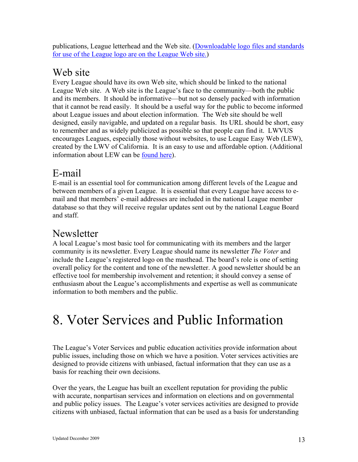publications, League letterhead and the Web site. [\(Downloadable logo files and standards](http://www.lwv.org/AM/Template.cfm?Section=Training_and_Resources&Template=/MembersOnly.cfm&ContentID=13903&FusePreview=False) [for use of the League logo are on the League Web site.\)](http://www.lwv.org/AM/Template.cfm?Section=Training_and_Resources&Template=/MembersOnly.cfm&ContentID=13903&FusePreview=False)

#### Web site

Every League should have its own Web site, which should be linked to the national League Web site. A Web site is the League's face to the community—both the public and its members. It should be informative—but not so densely packed with information that it cannot be read easily. It should be a useful way for the public to become informed about League issues and about election information. The Web site should be well designed, easily navigable, and updated on a regular basis. Its URL should be short, easy to remember and as widely publicized as possible so that people can find it. LWVUS encourages Leagues, especially those without websites, to use League Easy Web (LEW), created by the LWV of California. It is an easy to use and affordable option. (Additional information about LEW can be [found here\)](http://www.lwv.org/AM/Template.cfm?Section=Newsletter_Editors_Webmasters&CONTENTID=14547&TEMPLATE=/CM/ContentDisplay.cfm).

## E-mail

E-mail is an essential tool for communication among different levels of the League and between members of a given League. It is essential that every League have access to email and that members' e-mail addresses are included in the national League member database so that they will receive regular updates sent out by the national League Board and staff.

#### Newsletter

A local League's most basic tool for communicating with its members and the larger community is its newsletter. Every League should name its newsletter *The Voter* and include the League's registered logo on the masthead. The board's role is one of setting overall policy for the content and tone of the newsletter. A good newsletter should be an effective tool for membership involvement and retention; it should convey a sense of enthusiasm about the League's accomplishments and expertise as well as communicate information to both members and the public.

# 8. Voter Services and Public Information

The League's Voter Services and public education activities provide information about public issues, including those on which we have a position. Voter services activities are designed to provide citizens with unbiased, factual information that they can use as a basis for reaching their own decisions.

Over the years, the League has built an excellent reputation for providing the public with accurate, nonpartisan services and information on elections and on governmental and public policy issues. The League's voter services activities are designed to provide citizens with unbiased, factual information that can be used as a basis for understanding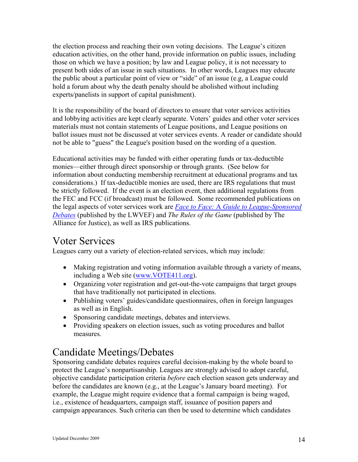the election process and reaching their own voting decisions. The League's citizen education activities, on the other hand, provide information on public issues, including those on which we have a position; by law and League policy, it is not necessary to present both sides of an issue in such situations. In other words, Leagues may educate the public about a particular point of view or "side" of an issue (e.g, a League could hold a forum about why the death penalty should be abolished without including experts/panelists in support of capital punishment).

It is the responsibility of the board of directors to ensure that voter services activities and lobbying activities are kept clearly separate. Voters' guides and other voter services materials must not contain statements of League positions, and League positions on ballot issues must not be discussed at voter services events. A reader or candidate should not be able to "guess" the League's position based on the wording of a question.

Educational activities may be funded with either operating funds or tax-deductible monies—either through direct sponsorship or through grants. (See below for information about conducting membership recruitment at educational programs and tax considerations.) If tax-deductible monies are used, there are IRS regulations that must be strictly followed. If the event is an election event, then additional regulations from the FEC and FCC (if broadcast) must be followed. Some recommended publications on the legal aspects of voter services work are *Face to Face:* A *[Guide to League-Sponsored](http://www.lwv.org/AM/Template.cfm?Section=Face_to_Face&Template=/TaggedPage/TaggedPageDisplay.cfm&TPLID=1&ContentID=7879)  [Debates](http://www.lwv.org/AM/Template.cfm?Section=Face_to_Face&Template=/TaggedPage/TaggedPageDisplay.cfm&TPLID=1&ContentID=7879)* (published by the LWVEF) and *The Rules of the Game* (published by The Alliance for Justice), as well as IRS publications.

#### Voter Services

Leagues carry out a variety of election-related services, which may include:

- ! Making registration and voting information available through a variety of means, including a Web site [\(www.VOTE411.org\)](file://localhost/C/Documents%20and%20Settings/SPeterson/Desktop/www.VOTE411.org).
- Organizing voter registration and get-out-the-vote campaigns that target groups that have traditionally not participated in elections.
- ! Publishing voters' guides/candidate questionnaires, often in foreign languages as well as in English.
- ! Sponsoring candidate meetings, debates and interviews.
- Providing speakers on election issues, such as voting procedures and ballot measures.

## Candidate Meetings/Debates

Sponsoring candidate debates requires careful decision-making by the whole board to protect the League's nonpartisanship. Leagues are strongly advised to adopt careful, objective candidate participation criteria *before* each election season gets underway and before the candidates are known (e.g., at the League's January board meeting). For example, the League might require evidence that a formal campaign is being waged, i.e., existence of headquarters, campaign staff, issuance of position papers and campaign appearances. Such criteria can then be used to determine which candidates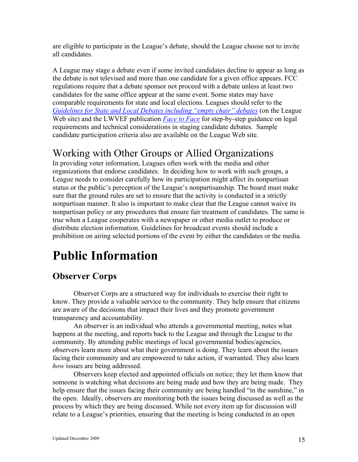are eligible to participate in the League's debate, should the League choose not to invite all candidates.

A League may stage a debate even if some invited candidates decline to appear as long as the debate is not televised and more than one candidate for a given office appears. FCC regulations require that a debate sponsor not proceed with a debate unless at least two candidates for the same office appear at the same event. Some states may have comparable requirements for state and local elections. Leagues should refer to the *[Guidelines for State and Local Debates including "empty chair" debates](http://www.lwv.org/AM/Template.cfm?Section=Home§ion=Board_Policy_Book&template=/CM/ContentDisplay.cfm&ContentFileID=2151)* (on the League Web site) and the LWVEF publication *[Face to Face](http://www.lwv.org/AM/Template.cfm?Section=Face_to_Face&Template=/TaggedPage/TaggedPageDisplay.cfm&TPLID=1&ContentID=7879)* for step-by-step guidance on legal requirements and technical considerations in staging candidate debates. Sample candidate participation criteria also are available on the League Web site.

## Working with Other Groups or Allied Organizations

In providing voter information, Leagues often work with the media and other organizations that endorse candidates. In deciding how to work with such groups, a League needs to consider carefully how its participation might affect its nonpartisan status or the public's perception of the League's nonpartisanship. The board must make sure that the ground rules are set to ensure that the activity is conducted in a strictly nonpartisan manner. It also is important to make clear that the League cannot waive its nonpartisan policy or any procedures that ensure fair treatment of candidates. The same is true when a League cooperates with a newspaper or other media outlet to produce or distribute election information. Guidelines for broadcast events should include a prohibition on airing selected portions of the event by either the candidates or the media.

## **Public Information**

#### **Observer Corps**

Observer Corps are a structured way for individuals to exercise their right to know. They provide a valuable service to the community. They help ensure that citizens are aware of the decisions that impact their lives and they promote government transparency and accountability.

An observer is an individual who attends a governmental meeting, notes what happens at the meeting, and reports back to the League and through the League to the community. By attending public meetings of local governmental bodies/agencies, observers learn more about what their government is doing. They learn about the issues facing their community and are empowered to take action, if warranted. They also learn *how* issues are being addressed.

Observers keep elected and appointed officials on notice; they let them know that someone is watching what decisions are being made and how they are being made. They help ensure that the issues facing their community are being handled "in the sunshine," in the open. Ideally, observers are monitoring both the issues being discussed as well as the process by which they are being discussed. While not every item up for discussion will relate to a League's priorities, ensuring that the meeting is being conducted in an open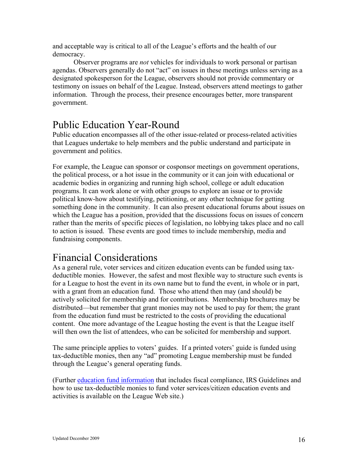and acceptable way is critical to all of the League's efforts and the health of our democracy.

Observer programs are *not* vehicles for individuals to work personal or partisan agendas. Observers generally do not "act" on issues in these meetings unless serving as a designated spokesperson for the League, observers should not provide commentary or testimony on issues on behalf of the League. Instead, observers attend meetings to gather information. Through the process, their presence encourages better, more transparent government.

## Public Education Year-Round

Public education encompasses all of the other issue-related or process-related activities that Leagues undertake to help members and the public understand and participate in government and politics.

For example, the League can sponsor or cosponsor meetings on government operations, the political process, or a hot issue in the community or it can join with educational or academic bodies in organizing and running high school, college or adult education programs. It can work alone or with other groups to explore an issue or to provide political know-how about testifying, petitioning, or any other technique for getting something done in the community. It can also present educational forums about issues on which the League has a position, provided that the discussions focus on issues of concern rather than the merits of specific pieces of legislation, no lobbying takes place and no call to action is issued. These events are good times to include membership, media and fundraising components.

## Financial Considerations

As a general rule, voter services and citizen education events can be funded using taxdeductible monies. However, the safest and most flexible way to structure such events is for a League to host the event in its own name but to fund the event, in whole or in part, with a grant from an education fund. Those who attend then may (and should) be actively solicited for membership and for contributions. Membership brochures may be distributed—but remember that grant monies may not be used to pay for them; the grant from the education fund must be restricted to the costs of providing the educational content. One more advantage of the League hosting the event is that the League itself will then own the list of attendees, who can be solicited for membership and support.

The same principle applies to voters' guides. If a printed voters' guide is funded using tax-deductible monies, then any "ad" promoting League membership must be funded through the League's general operating funds.

(Further [education fund information](http://www.lwv.org/AM/Template.cfm?Section=League_Basics_Resources&Template=/TaggedPage/TaggedPageDisplay.cfm&TPLID=142&ContentID=14539) that includes fiscal compliance, IRS Guidelines and how to use tax-deductible monies to fund voter services/citizen education events and activities is available on the League Web site.)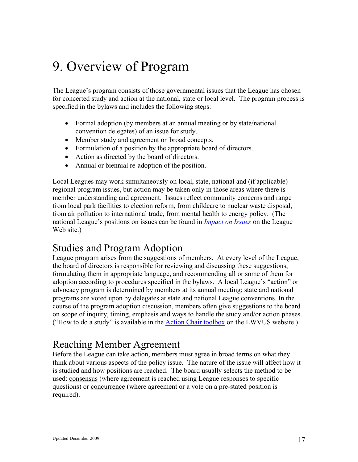# 9. Overview of Program

The League's program consists of those governmental issues that the League has chosen for concerted study and action at the national, state or local level. The program process is specified in the bylaws and includes the following steps:

- Formal adoption (by members at an annual meeting or by state/national convention delegates) of an issue for study.
- Member study and agreement on broad concepts.
- Formulation of a position by the appropriate board of directors.
- Action as directed by the board of directors.
- Annual or biennial re-adoption of the position.

Local Leagues may work simultaneously on local, state, national and (if applicable) regional program issues, but action may be taken only in those areas where there is member understanding and agreement. Issues reflect community concerns and range from local park facilities to election reform, from childcare to nuclear waste disposal, from air pollution to international trade, from mental health to energy policy. (The national League's positions on issues can be found in *[Impact on Issues](http://www.lwv.org/AM/Template.cfm?Section=League_Basics_Resources&Template=/TaggedPage/TaggedPageDisplay.cfm&TPLID=137&ContentID=15341)* on the League Web site.)

#### Studies and Program Adoption

League program arises from the suggestions of members. At every level of the League, the board of directors is responsible for reviewing and discussing these suggestions, formulating them in appropriate language, and recommending all or some of them for adoption according to procedures specified in the bylaws. A local League's "action" or advocacy program is determined by members at its annual meeting; state and national programs are voted upon by delegates at state and national League conventions. In the course of the program adoption discussion, members often give suggestions to the board on scope of inquiry, timing, emphasis and ways to handle the study and/or action phases. ("How to do a study" is available in the [Action Chair](http://www.lwv.org/AM/Template.cfm?Section=Action_Chair&TPLID=79&TEMPLATE=/TaggedPage/TaggedPageDisplay.cfm&CONTENTID=7535&TPPID=18911) toolbox on the LWVUS website.)

#### Reaching Member Agreement

Before the League can take action, members must agree in broad terms on what they think about various aspects of the policy issue. The nature of the issue will affect how it is studied and how positions are reached. The board usually selects the method to be used: consensus (where agreement is reached using League responses to specific questions) or concurrence (where agreement or a vote on a pre-stated position is required).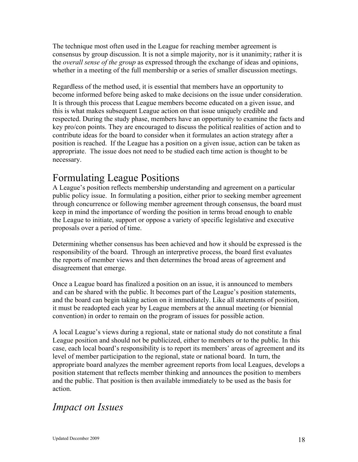The technique most often used in the League for reaching member agreement is consensus by group discussion. It is not a simple majority, nor is it unanimity; rather it is the *overall sense of the group* as expressed through the exchange of ideas and opinions, whether in a meeting of the full membership or a series of smaller discussion meetings.

Regardless of the method used, it is essential that members have an opportunity to become informed before being asked to make decisions on the issue under consideration. It is through this process that League members become educated on a given issue, and this is what makes subsequent League action on that issue uniquely credible and respected. During the study phase, members have an opportunity to examine the facts and key pro/con points. They are encouraged to discuss the political realities of action and to contribute ideas for the board to consider when it formulates an action strategy after a position is reached. If the League has a position on a given issue, action can be taken as appropriate. The issue does not need to be studied each time action is thought to be necessary.

## Formulating League Positions

A League's position reflects membership understanding and agreement on a particular public policy issue. In formulating a position, either prior to seeking member agreement through concurrence or following member agreement through consensus, the board must keep in mind the importance of wording the position in terms broad enough to enable the League to initiate, support or oppose a variety of specific legislative and executive proposals over a period of time.

Determining whether consensus has been achieved and how it should be expressed is the responsibility of the board. Through an interpretive process, the board first evaluates the reports of member views and then determines the broad areas of agreement and disagreement that emerge.

Once a League board has finalized a position on an issue, it is announced to members and can be shared with the public. It becomes part of the League's position statements, and the board can begin taking action on it immediately. Like all statements of position, it must be readopted each year by League members at the annual meeting (or biennial convention) in order to remain on the program of issues for possible action.

A local League's views during a regional, state or national study do not constitute a final League position and should not be publicized, either to members or to the public. In this case, each local board's responsibility is to report its members' areas of agreement and its level of member participation to the regional, state or national board. In turn, the appropriate board analyzes the member agreement reports from local Leagues, develops a position statement that reflects member thinking and announces the position to members and the public. That position is then available immediately to be used as the basis for action.

## *Impact on Issues*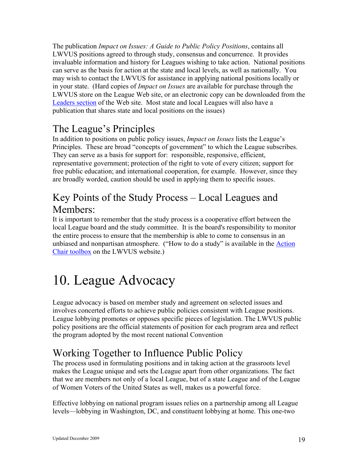The publication *Impact on Issues: A Guide to Public Policy Positions*, contains all LWVUS positions agreed to through study, consensus and concurrence. It provides invaluable information and history for Leagues wishing to take action. National positions can serve as the basis for action at the state and local levels, as well as nationally. You may wish to contact the LWVUS for assistance in applying national positions locally or in your state. (Hard copies of *Impact on Issues* are available for purchase through the LWVUS store on the League Web site, or an electronic copy can be downloaded from the [Leaders section](http://www.lwv.org/AM/Template.cfm?Section=Tools_For_Leaders&Template=/TaggedPage/TaggedPageDisplay.cfm&TPLID=75&ContentID=13934) of the Web site. Most state and local Leagues will also have a publication that shares state and local positions on the issues)

## The League's Principles

In addition to positions on public policy issues, *Impact on Issues* lists the League's Principles. These are broad "concepts of government" to which the League subscribes. They can serve as a basis for support for: responsible, responsive, efficient, representative government; protection of the right to vote of every citizen; support for free public education; and international cooperation, for example. However, since they are broadly worded, caution should be used in applying them to specific issues.

## Key Points of the Study Process – Local Leagues and Members:

It is important to remember that the study process is a cooperative effort between the local League board and the study committee. It is the board's responsibility to monitor the entire process to ensure that the membership is able to come to consensus in an unbiased and nonpartisan atmosphere. ("How to do a study" is available in the **[Action](http://www.lwv.org/AM/Template.cfm?Section=Action_Chair&TPLID=79&TEMPLATE=/TaggedPage/TaggedPageDisplay.cfm&CONTENTID=7535&TPPID=18911)** [Chair toolbox](http://www.lwv.org/AM/Template.cfm?Section=Action_Chair&TPLID=79&TEMPLATE=/TaggedPage/TaggedPageDisplay.cfm&CONTENTID=7535&TPPID=18911) on the LWVUS website.)

# 10. League Advocacy

League advocacy is based on member study and agreement on selected issues and involves concerted efforts to achieve public policies consistent with League positions. League lobbying promotes or opposes specific pieces of legislation. The LWVUS public policy positions are the official statements of position for each program area and reflect the program adopted by the most recent national Convention

## Working Together to Influence Public Policy

The process used in formulating positions and in taking action at the grassroots level makes the League unique and sets the League apart from other organizations. The fact that we are members not only of a local League, but of a state League and of the League of Women Voters of the United States as well, makes us a powerful force.

Effective lobbying on national program issues relies on a partnership among all League levels—lobbying in Washington, DC, and constituent lobbying at home. This one-two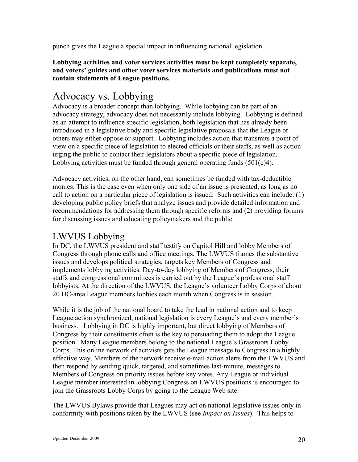punch gives the League a special impact in influencing national legislation.

**Lobbying activities and voter services activities must be kept completely separate, and voters' guides and other voter services materials and publications must not contain statements of League positions.**

#### Advocacy vs. Lobbying

Advocacy is a broader concept than lobbying. While lobbying can be part of an advocacy strategy, advocacy does not necessarily include lobbying. Lobbying is defined as an attempt to influence specific legislation, both legislation that has already been introduced in a legislative body and specific legislative proposals that the League or others may either oppose or support. Lobbying includes action that transmits a point of view on a specific piece of legislation to elected officials or their staffs, as well as action urging the public to contact their legislators about a specific piece of legislation. Lobbying activities must be funded through general operating funds  $(501(c)4)$ .

Advocacy activities, on the other hand, can sometimes be funded with tax-deductible monies. This is the case even when only one side of an issue is presented, as long as no call to action on a particular piece of legislation is issued. Such activities can include: (1) developing public policy briefs that analyze issues and provide detailed information and recommendations for addressing them through specific reforms and (2) providing forums for discussing issues and educating policymakers and the public.

#### LWVUS Lobbying

In DC, the LWVUS president and staff testify on Capitol Hill and lobby Members of Congress through phone calls and office meetings. The LWVUS frames the substantive issues and develops political strategies, targets key Members of Congress and implements lobbying activities. Day-to-day lobbying of Members of Congress, their staffs and congressional committees is carried out by the League's professional staff lobbyists. At the direction of the LWVUS, the League's volunteer Lobby Corps of about 20 DC-area League members lobbies each month when Congress is in session.

While it is the job of the national board to take the lead in national action and to keep League action synchronized, national legislation is every League's and every member's business. Lobbying in DC is highly important, but direct lobbying of Members of Congress by their constituents often is the key to persuading them to adopt the League position. Many League members belong to the national League's Grassroots Lobby Corps. This online network of activists gets the League message to Congress in a highly effective way. Members of the network receive e-mail action alerts from the LWVUS and then respond by sending quick, targeted, and sometimes last-minute, messages to Members of Congress on priority issues before key votes. Any League or individual League member interested in lobbying Congress on LWVUS positions is encouraged to join the Grassroots Lobby Corps by going to the League Web site.

The LWVUS Bylaws provide that Leagues may act on national legislative issues only in conformity with positions taken by the LWVUS (see *Impact on Issues*). This helps to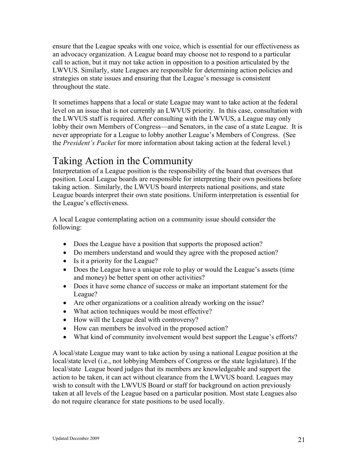ensure that the League speaks with one voice, which is essential for our effectiveness as an advocacy organization. A League board may choose not to respond to a particular call to action, but it may not take action in opposition to a position articulated by the LWVUS. Similarly, state Leagues are responsible for determining action policies and strategies on state issues and ensuring that the League's message is consistent throughout the state.

It sometimes happens that a local or state League may want to take action at the federal level on an issue that is not currently an LWVUS priority. In this case, consultation with the LWVUS staff is required. After consulting with the LWVUS, a League may only lobby their own Members of Congress—and Senators, in the case of a state League. It is never appropriate for a League to lobby another League's Members of Congress. (See the *President's Packet* for more information about taking action at the federal level.)

## Taking Action in the Community

Interpretation of a League position is the responsibility of the board that oversees that position. Local League boards are responsible for interpreting their own positions before taking action. Similarly, the LWVUS board interprets national positions, and state League boards interpret their own state positions. Uniform interpretation is essential for the League's effectiveness.

A local League contemplating action on a community issue should consider the following:

- Does the League have a position that supports the proposed action?
- Do members understand and would they agree with the proposed action?
- Is it a priority for the League?
- Does the League have a unique role to play or would the League's assets (time and money) be better spent on other activities?
- Does it have some chance of success or make an important statement for the League?
- ! Are other organizations or a coalition already working on the issue?
- What action techniques would be most effective?
- How will the League deal with controversy?
- How can members be involved in the proposed action?
- ! What kind of community involvement would best support the League's efforts?

A local/state League may want to take action by using a national League position at the local/state level (i.e., not lobbying Members of Congress or the state legislature). If the local/state League board judges that its members are knowledgeable and support the action to be taken, it can act without clearance from the LWVUS board. Leagues may wish to consult with the LWVUS Board or staff for background on action previously taken at all levels of the League based on a particular position. Most state Leagues also do not require clearance for state positions to be used locally.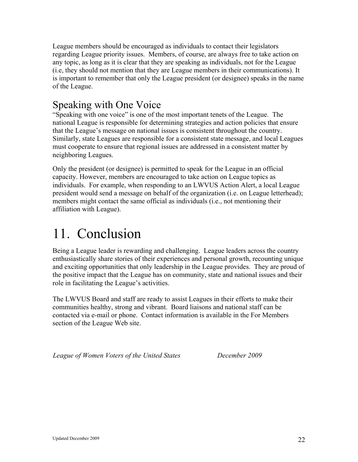League members should be encouraged as individuals to contact their legislators regarding League priority issues. Members, of course, are always free to take action on any topic, as long as it is clear that they are speaking as individuals, not for the League (i.e, they should not mention that they are League members in their communications). It is important to remember that only the League president (or designee) speaks in the name of the League.

### Speaking with One Voice

"Speaking with one voice" is one of the most important tenets of the League. The national League is responsible for determining strategies and action policies that ensure that the League's message on national issues is consistent throughout the country. Similarly, state Leagues are responsible for a consistent state message, and local Leagues must cooperate to ensure that regional issues are addressed in a consistent matter by neighboring Leagues.

Only the president (or designee) is permitted to speak for the League in an official capacity. However, members are encouraged to take action on League topics as individuals. For example, when responding to an LWVUS Action Alert, a local League president would send a message on behalf of the organization (i.e. on League letterhead); members might contact the same official as individuals (i.e., not mentioning their affiliation with League).

# 11. Conclusion

Being a League leader is rewarding and challenging. League leaders across the country enthusiastically share stories of their experiences and personal growth, recounting unique and exciting opportunities that only leadership in the League provides. They are proud of the positive impact that the League has on community, state and national issues and their role in facilitating the League's activities.

The LWVUS Board and staff are ready to assist Leagues in their efforts to make their communities healthy, strong and vibrant. Board liaisons and national staff can be contacted via e-mail or phone. Contact information is available in the For Members section of the League Web site.

*League of Women Voters of the United States December 2009*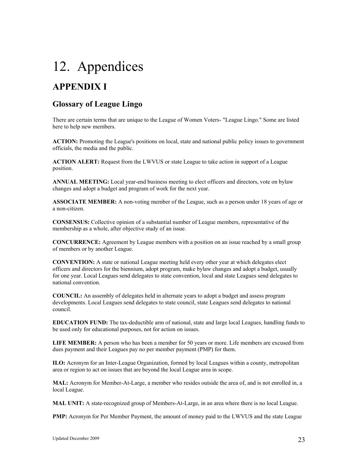# 12. Appendices

## **APPENDIX I**

#### **Glossary of League Lingo**

There are certain terms that are unique to the League of Women Voters- "League Lingo." Some are listed here to help new members.

**ACTION:** Promoting the League's positions on local, state and national public policy issues to government officials, the media and the public.

**ACTION ALERT:** Request from the LWVUS or state League to take action in support of a League position.

**ANNUAL MEETING:** Local year-end business meeting to elect officers and directors, vote on bylaw changes and adopt a budget and program of work for the next year.

**ASSOCIATE MEMBER:** A non-voting member of the League, such as a person under 18 years of age or a non-citizen.

**CONSENSUS:** Collective opinion of a substantial number of League members, representative of the membership as a whole, after objective study of an issue.

**CONCURRENCE:** Agreement by League members with a position on an issue reached by a small group of members or by another League.

**CONVENTION:** A state or national League meeting held every other year at which delegates elect officers and directors for the biennium, adopt program, make bylaw changes and adopt a budget, usually for one year. Local Leagues send delegates to state convention, local and state Leagues send delegates to national convention.

**COUNCIL:** An assembly of delegates held in alternate years to adopt a budget and assess program developments. Local Leagues send delegates to state council, state Leagues send delegates to national council.

**EDUCATION FUND:** The tax-deductible arm of national, state and large local Leagues, handling funds to be used only for educational purposes, not for action on issues.

**LIFE MEMBER:** A person who has been a member for 50 years or more. Life members are excused from dues payment and their Leagues pay no per member payment (PMP) for them.

**ILO:** Acronym for an Inter-League Organization, formed by local Leagues within a county, metropolitan area or region to act on issues that are beyond the local League area in scope.

**MAL:** Acronym for Member-At-Large, a member who resides outside the area of, and is not enrolled in, a local League.

**MAL UNIT:** A state-recognized group of Members-At-Large, in an area where there is no local League.

**PMP:** Acronym for Per Member Payment, the amount of money paid to the LWVUS and the state League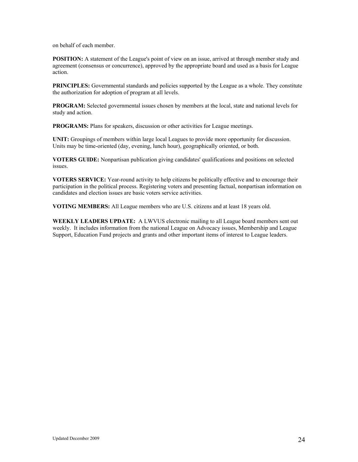on behalf of each member.

**POSITION:** A statement of the League's point of view on an issue, arrived at through member study and agreement (consensus or concurrence), approved by the appropriate board and used as a basis for League action.

**PRINCIPLES:** Governmental standards and policies supported by the League as a whole. They constitute the authorization for adoption of program at all levels.

**PROGRAM:** Selected governmental issues chosen by members at the local, state and national levels for study and action.

**PROGRAMS:** Plans for speakers, discussion or other activities for League meetings.

**UNIT:** Groupings of members within large local Leagues to provide more opportunity for discussion. Units may be time-oriented (day, evening, lunch hour), geographically oriented, or both.

**VOTERS GUIDE:** Nonpartisan publication giving candidates' qualifications and positions on selected issues.

**VOTERS SERVICE:** Year-round activity to help citizens be politically effective and to encourage their participation in the political process. Registering voters and presenting factual, nonpartisan information on candidates and election issues are basic voters service activities.

**VOTING MEMBERS:** All League members who are U.S. citizens and at least 18 years old.

**WEEKLY LEADERS UPDATE:** A LWVUS electronic mailing to all League board members sent out weekly. It includes information from the national League on Advocacy issues, Membership and League Support, Education Fund projects and grants and other important items of interest to League leaders.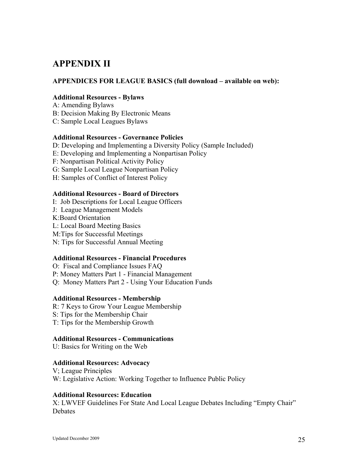#### **APPENDIX II**

#### **APPENDICES FOR LEAGUE BASICS (full download – available on web):**

#### **Additional Resources - Bylaws**

- A: Amending Bylaws
- B: Decision Making By Electronic Means
- C: Sample Local Leagues Bylaws

#### **Additional Resources - Governance Policies**

- D: Developing and Implementing a Diversity Policy (Sample Included)
- E: Developing and Implementing a Nonpartisan Policy
- F: Nonpartisan Political Activity Policy
- G: Sample Local League Nonpartisan Policy
- H: Samples of Conflict of Interest Policy

#### **Additional Resources - Board of Directors**

- I: Job Descriptions for Local League Officers
- J: League Management Models
- K:Board Orientation
- L: Local Board Meeting Basics
- M:Tips for Successful Meetings
- N: Tips for Successful Annual Meeting

#### **Additional Resources - Financial Procedures**

O: Fiscal and Compliance Issues FAQ P: Money Matters Part 1 - Financial Management Q: Money Matters Part 2 - Using Your Education Funds

#### **Additional Resources - Membership**

R: 7 Keys to Grow Your League Membership S: Tips for the Membership Chair T: Tips for the Membership Growth

#### **Additional Resources - Communications**

U: Basics for Writing on the Web

#### **Additional Resources: Advocacy**

V; League Principles W: Legislative Action: Working Together to Influence Public Policy

#### **Additional Resources: Education**

X: LWVEF Guidelines For State And Local League Debates Including "Empty Chair" Debates